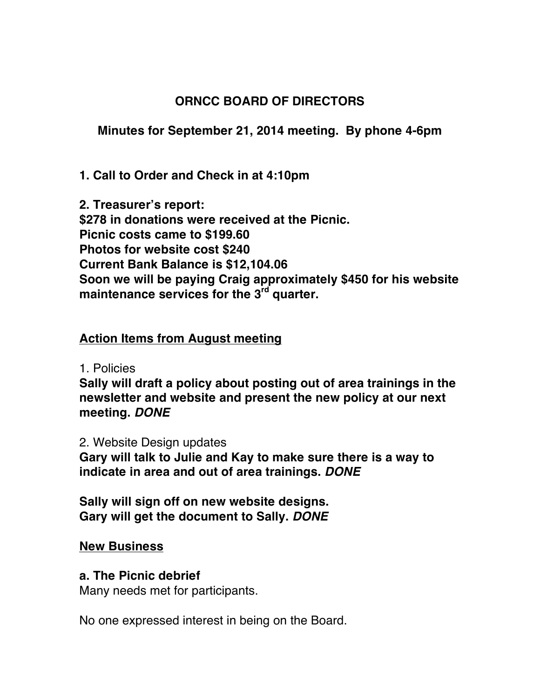# **ORNCC BOARD OF DIRECTORS**

**Minutes for September 21, 2014 meeting. By phone 4-6pm**

**1. Call to Order and Check in at 4:10pm**

**2. Treasurer's report: \$278 in donations were received at the Picnic. Picnic costs came to \$199.60 Photos for website cost \$240 Current Bank Balance is \$12,104.06 Soon we will be paying Craig approximately \$450 for his website maintenance services for the 3rd quarter.**

## **Action Items from August meeting**

1. Policies

**Sally will draft a policy about posting out of area trainings in the newsletter and website and present the new policy at our next meeting.** *DONE*

2. Website Design updates

**Gary will talk to Julie and Kay to make sure there is a way to indicate in area and out of area trainings.** *DONE*

**Sally will sign off on new website designs. Gary will get the document to Sally.** *DONE*

#### **New Business**

## **a. The Picnic debrief**

Many needs met for participants.

No one expressed interest in being on the Board.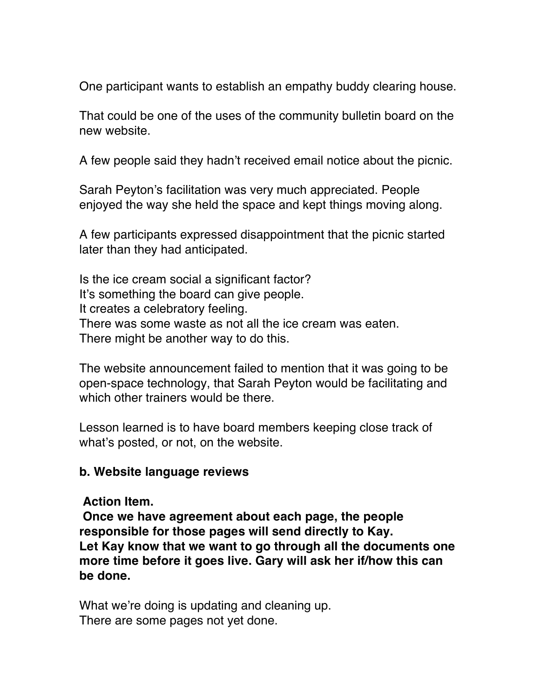One participant wants to establish an empathy buddy clearing house.

That could be one of the uses of the community bulletin board on the new website.

A few people said they hadn't received email notice about the picnic.

Sarah Peyton's facilitation was very much appreciated. People enjoyed the way she held the space and kept things moving along.

A few participants expressed disappointment that the picnic started later than they had anticipated.

Is the ice cream social a significant factor? It's something the board can give people. It creates a celebratory feeling. There was some waste as not all the ice cream was eaten. There might be another way to do this.

The website announcement failed to mention that it was going to be open-space technology, that Sarah Peyton would be facilitating and which other trainers would be there.

Lesson learned is to have board members keeping close track of what's posted, or not, on the website.

#### **b. Website language reviews**

**Action Item.** 

**Once we have agreement about each page, the people responsible for those pages will send directly to Kay. Let Kay know that we want to go through all the documents one more time before it goes live. Gary will ask her if/how this can be done.**

What we're doing is updating and cleaning up. There are some pages not yet done.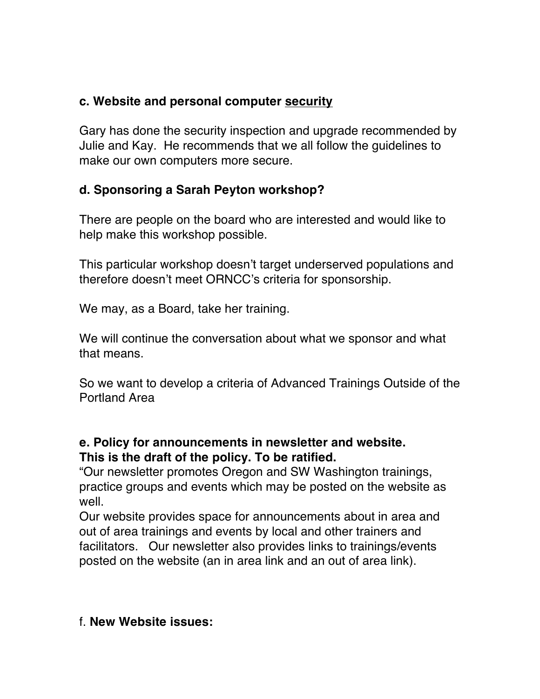## **c. Website and personal computer security**

Gary has done the security inspection and upgrade recommended by Julie and Kay. He recommends that we all follow the guidelines to make our own computers more secure.

# **d. Sponsoring a Sarah Peyton workshop?**

There are people on the board who are interested and would like to help make this workshop possible.

This particular workshop doesn't target underserved populations and therefore doesn't meet ORNCC's criteria for sponsorship.

We may, as a Board, take her training.

We will continue the conversation about what we sponsor and what that means.

So we want to develop a criteria of Advanced Trainings Outside of the Portland Area

## **e. Policy for announcements in newsletter and website. This is the draft of the policy. To be ratified.**

"Our newsletter promotes Oregon and SW Washington trainings, practice groups and events which may be posted on the website as well.

Our website provides space for announcements about in area and out of area trainings and events by local and other trainers and facilitators. Our newsletter also provides links to trainings/events posted on the website (an in area link and an out of area link).

## f. **New Website issues:**